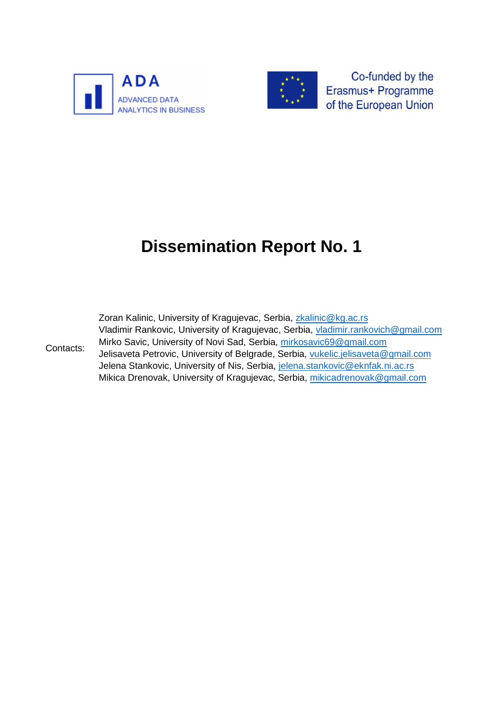



Co-funded by the Erasmus+ Programme of the European Union

# **Dissemination Report No. 1**

| Contacts: | Zoran Kalinic, University of Kragujevac, Serbia, zkalinic@kg.ac.rs                |
|-----------|-----------------------------------------------------------------------------------|
|           | Vladimir Rankovic, University of Kragujevac, Serbia, vladimir.rankovich@gmail.com |
|           | Mirko Savic, University of Novi Sad, Serbia, mirkosavic69@gmail.com               |
|           | Jelisaveta Petrovic, University of Belgrade, Serbia, vukelic.jelisaveta@gmail.com |
|           | Jelena Stankovic, University of Nis, Serbia, jelena.stankovic@eknfak.ni.ac.rs     |
|           | Mikica Drenovak, University of Kragujevac, Serbia, mikicadrenovak@gmail.com       |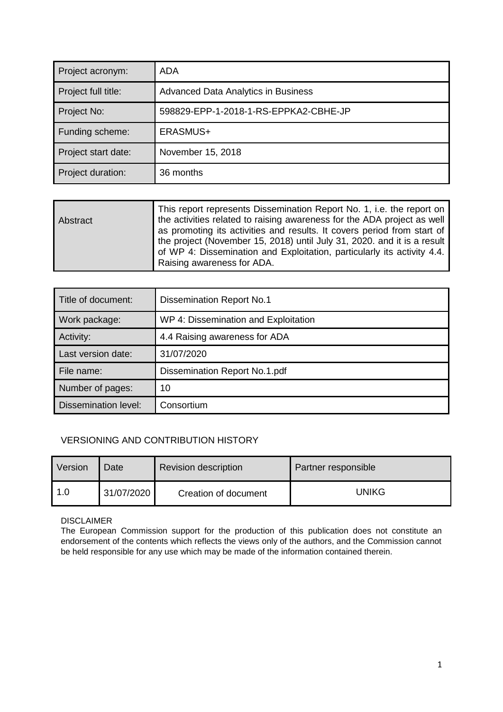| Project acronym:    | ADA                                        |
|---------------------|--------------------------------------------|
| Project full title: | <b>Advanced Data Analytics in Business</b> |
| Project No:         | 598829-EPP-1-2018-1-RS-EPPKA2-CBHE-JP      |
| Funding scheme:     | ERASMUS+                                   |
| Project start date: | November 15, 2018                          |
| Project duration:   | 36 months                                  |

| Abstract | This report represents Dissemination Report No. 1, i.e. the report on<br>the activities related to raising awareness for the ADA project as well<br>as promoting its activities and results. It covers period from start of<br>the project (November 15, 2018) until July 31, 2020. and it is a result |
|----------|--------------------------------------------------------------------------------------------------------------------------------------------------------------------------------------------------------------------------------------------------------------------------------------------------------|
|          | of WP 4: Dissemination and Exploitation, particularly its activity 4.4.<br>Raising awareness for ADA.                                                                                                                                                                                                  |

| Title of document:   | <b>Dissemination Report No.1</b>     |  |
|----------------------|--------------------------------------|--|
| Work package:        | WP 4: Dissemination and Exploitation |  |
| Activity:            | 4.4 Raising awareness for ADA        |  |
| Last version date:   | 31/07/2020                           |  |
| File name:           | Dissemination Report No.1.pdf        |  |
| Number of pages:     | 10                                   |  |
| Dissemination level: | Consortium                           |  |

#### VERSIONING AND CONTRIBUTION HISTORY

| Version | Date       | <b>Revision description</b> | Partner responsible |
|---------|------------|-----------------------------|---------------------|
| 1.0     | 31/07/2020 | Creation of document        | <b>UNIKG</b>        |

DISCLAIMER

The European Commission support for the production of this publication does not constitute an endorsement of the contents which reflects the views only of the authors, and the Commission cannot be held responsible for any use which may be made of the information contained therein.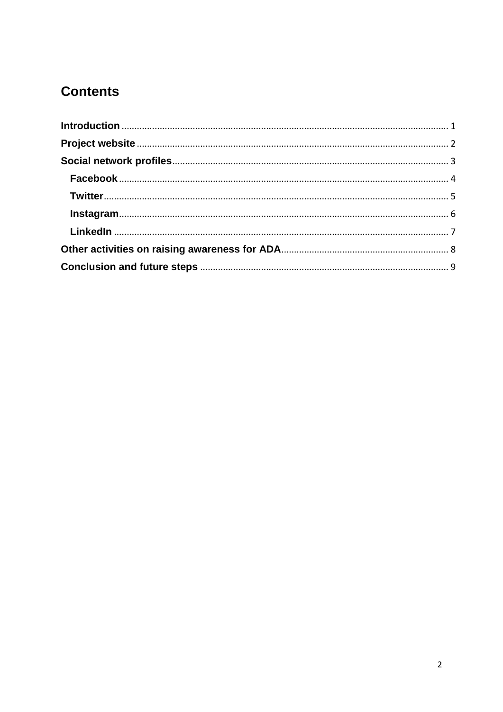## **Contents**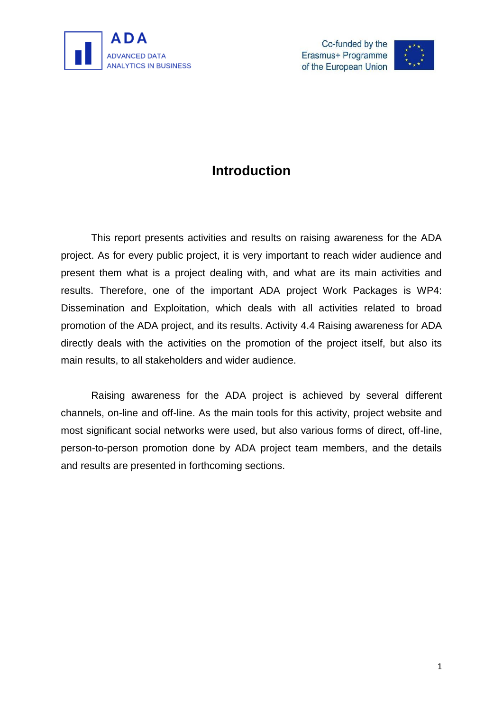



## **Introduction**

<span id="page-3-0"></span>This report presents activities and results on raising awareness for the ADA project. As for every public project, it is very important to reach wider audience and present them what is a project dealing with, and what are its main activities and results. Therefore, one of the important ADA project Work Packages is WP4: Dissemination and Exploitation, which deals with all activities related to broad promotion of the ADA project, and its results. Activity 4.4 Raising awareness for ADA directly deals with the activities on the promotion of the project itself, but also its main results, to all stakeholders and wider audience.

Raising awareness for the ADA project is achieved by several different channels, on-line and off-line. As the main tools for this activity, project website and most significant social networks were used, but also various forms of direct, off-line, person-to-person promotion done by ADA project team members, and the details and results are presented in forthcoming sections.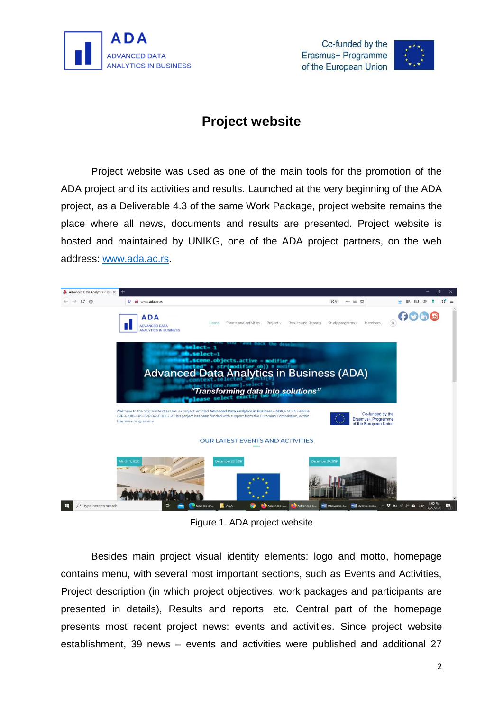<span id="page-4-0"></span>





## **Project website**

Project website was used as one of the main tools for the promotion of the ADA project and its activities and results. Launched at the very beginning of the ADA project, as a Deliverable 4.3 of the same Work Package, project website remains the place where all news, documents and results are presented. Project website is hosted and maintained by UNIKG, one of the ADA project partners, on the web address: [www.ada.ac.rs.](http://www.ada.ac.rs/)



Figure 1. ADA project website

Besides main project visual identity elements: logo and motto, homepage contains menu, with several most important sections, such as Events and Activities, Project description (in which project objectives, work packages and participants are presented in details), Results and reports, etc. Central part of the homepage presents most recent project news: events and activities. Since project website establishment, 39 news – events and activities were published and additional 27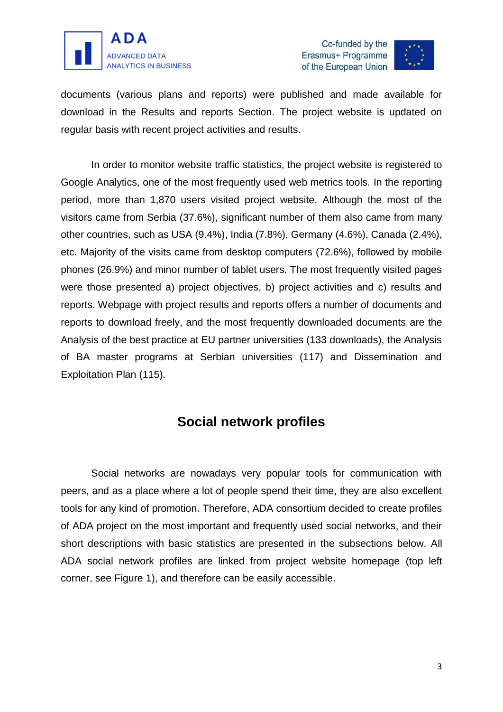



documents (various plans and reports) were published and made available for download in the Results and reports Section. The project website is updated on regular basis with recent project activities and results.

In order to monitor website traffic statistics, the project website is registered to Google Analytics, one of the most frequently used web metrics tools. In the reporting period, more than 1,870 users visited project website. Although the most of the visitors came from Serbia (37.6%), significant number of them also came from many other countries, such as USA (9.4%), India (7.8%), Germany (4.6%), Canada (2.4%), etc. Majority of the visits came from desktop computers (72.6%), followed by mobile phones (26.9%) and minor number of tablet users. The most frequently visited pages were those presented a) project objectives, b) project activities and c) results and reports. Webpage with project results and reports offers a number of documents and reports to download freely, and the most frequently downloaded documents are the Analysis of the best practice at EU partner universities (133 downloads), the Analysis of BA master programs at Serbian universities (117) and Dissemination and Exploitation Plan (115).

### **Social network profiles**

<span id="page-5-0"></span>Social networks are nowadays very popular tools for communication with peers, and as a place where a lot of people spend their time, they are also excellent tools for any kind of promotion. Therefore, ADA consortium decided to create profiles of ADA project on the most important and frequently used social networks, and their short descriptions with basic statistics are presented in the subsections below. All ADA social network profiles are linked from project website homepage (top left corner, see Figure 1), and therefore can be easily accessible.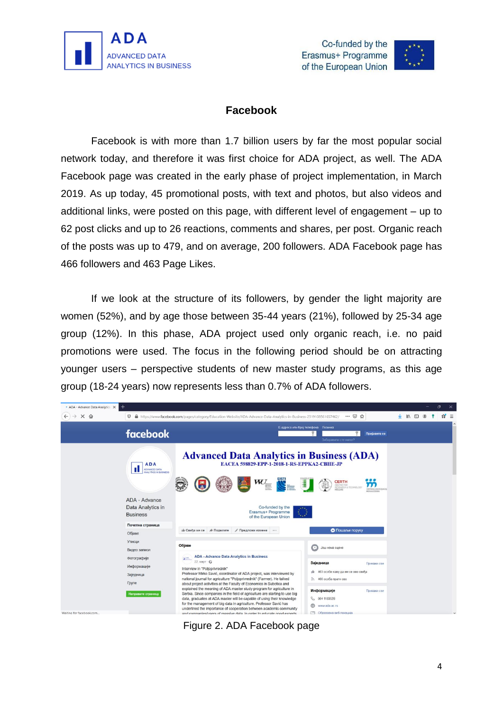





#### **Facebook**

<span id="page-6-0"></span>Facebook is with more than 1.7 billion users by far the most popular social network today, and therefore it was first choice for ADA project, as well. The ADA Facebook page was created in the early phase of project implementation, in March 2019. As up today, 45 promotional posts, with text and photos, but also videos and additional links, were posted on this page, with different level of engagement – up to 62 post clicks and up to 26 reactions, comments and shares, per post. Organic reach of the posts was up to 479, and on average, 200 followers. ADA Facebook page has 466 followers and 463 Page Likes.

If we look at the structure of its followers, by gender the light majority are women (52%), and by age those between 35-44 years (21%), followed by 25-34 age group (12%). In this phase, ADA project used only organic reach, i.e. no paid promotions were used. The focus in the following period should be on attracting younger users – perspective students of new master study programs, as this age group (18-24 years) now represents less than 0.7% of ADA followers.

<span id="page-6-1"></span>

Figure 2. ADA Facebook page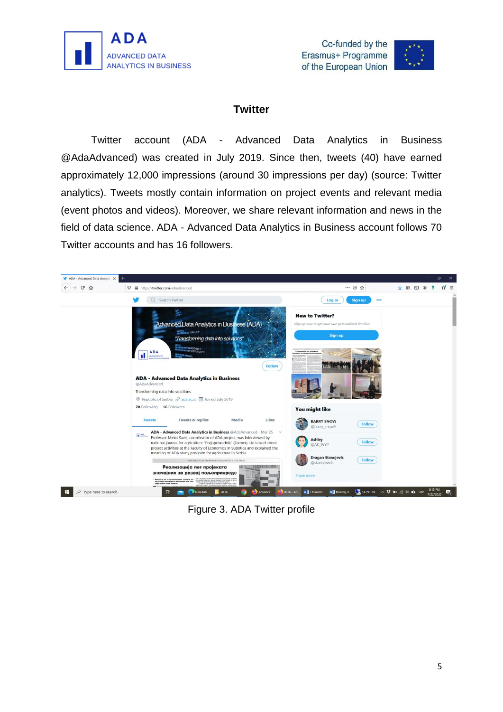





#### **Twitter**

Twitter account (ADA - Advanced Data Analytics in Business @AdaAdvanced) was created in July 2019. Since then, tweets (40) have earned approximately 12,000 impressions (around 30 impressions per day) (source: Twitter analytics). Tweets mostly contain information on project events and relevant media (event photos and videos). Moreover, we share relevant information and news in the field of data science. ADA - Advanced Data Analytics in Business account follows 70 Twitter accounts and has 16 followers.



Figure 3. ADA Twitter profile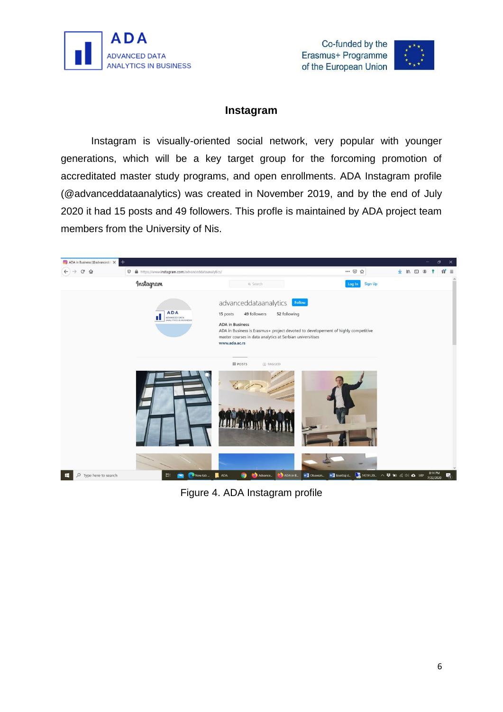





#### **Instagram**

<span id="page-8-0"></span>Instagram is visually-oriented social network, very popular with younger generations, which will be a key target group for the forcoming promotion of accreditated master study programs, and open enrollments. ADA Instagram profile (@advanceddataanalytics) was created in November 2019, and by the end of July 2020 it had 15 posts and 49 followers. This profle is maintained by ADA project team members from the University of Nis.



Figure 4. ADA Instagram profile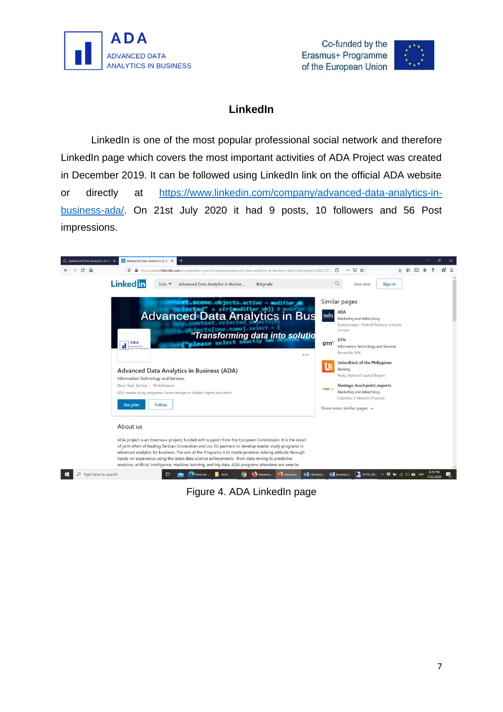





#### **LinkedIn**

<span id="page-9-0"></span>LinkedIn is one of the most popular professional social network and therefore LinkedIn page which covers the most important activities of ADA Project was created in December 2019. It can be followed using LinkedIn link on the official ADA website or directly at [https://www.linkedin.com/company/advanced-data-analytics-in](https://www.linkedin.com/company/advanced-data-analytics-in-business-ada/)[business-ada/.](https://www.linkedin.com/company/advanced-data-analytics-in-business-ada/) On 21st July 2020 it had 9 posts, 10 followers and 56 Post impressions.



Figure 4. ADA LinkedIn page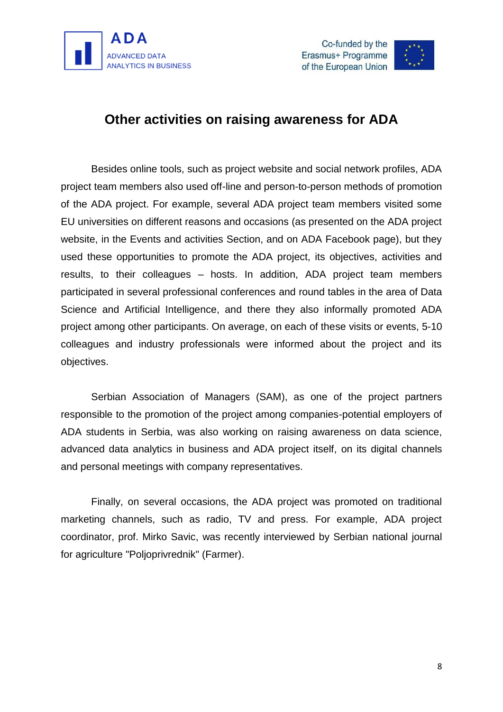





## <span id="page-10-0"></span>**Other activities on raising awareness for ADA**

Besides online tools, such as project website and social network profiles, ADA project team members also used off-line and person-to-person methods of promotion of the ADA project. For example, several ADA project team members visited some EU universities on different reasons and occasions (as presented on the ADA project website, in the Events and activities Section, and on ADA Facebook page), but they used these opportunities to promote the ADA project, its objectives, activities and results, to their colleagues – hosts. In addition, ADA project team members participated in several professional conferences and round tables in the area of Data Science and Artificial Intelligence, and there they also informally promoted ADA project among other participants. On average, on each of these visits or events, 5-10 colleagues and industry professionals were informed about the project and its objectives.

Serbian Association of Managers (SAM), as one of the project partners responsible to the promotion of the project among companies-potential employers of ADA students in Serbia, was also working on raising awareness on data science, advanced data analytics in business and ADA project itself, on its digital channels and personal meetings with company representatives.

<span id="page-10-1"></span>Finally, on several occasions, the ADA project was promoted on traditional marketing channels, such as radio, TV and press. For example, ADA project coordinator, prof. Mirko Savic, was recently interviewed by Serbian national journal for agriculture "Poljoprivrednik" (Farmer).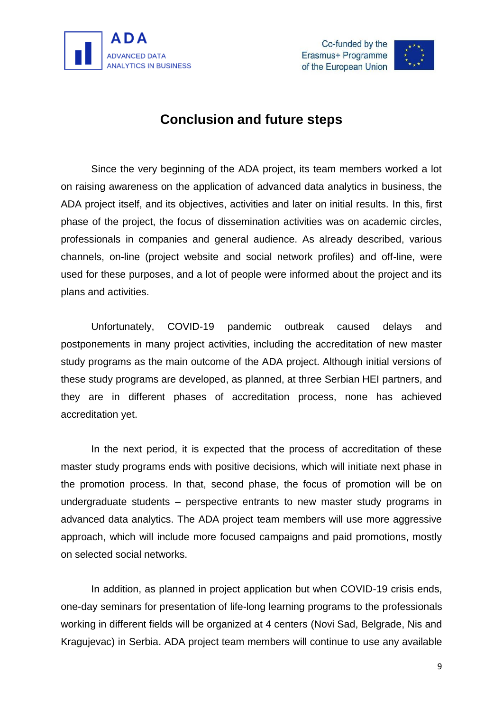





## **Conclusion and future steps**

Since the very beginning of the ADA project, its team members worked a lot on raising awareness on the application of advanced data analytics in business, the ADA project itself, and its objectives, activities and later on initial results. In this, first phase of the project, the focus of dissemination activities was on academic circles, professionals in companies and general audience. As already described, various channels, on-line (project website and social network profiles) and off-line, were used for these purposes, and a lot of people were informed about the project and its plans and activities.

Unfortunately, COVID-19 pandemic outbreak caused delays and postponements in many project activities, including the accreditation of new master study programs as the main outcome of the ADA project. Although initial versions of these study programs are developed, as planned, at three Serbian HEI partners, and they are in different phases of accreditation process, none has achieved accreditation yet.

In the next period, it is expected that the process of accreditation of these master study programs ends with positive decisions, which will initiate next phase in the promotion process. In that, second phase, the focus of promotion will be on undergraduate students – perspective entrants to new master study programs in advanced data analytics. The ADA project team members will use more aggressive approach, which will include more focused campaigns and paid promotions, mostly on selected social networks.

In addition, as planned in project application but when COVID-19 crisis ends, one-day seminars for presentation of life-long learning programs to the professionals working in different fields will be organized at 4 centers (Novi Sad, Belgrade, Nis and Kragujevac) in Serbia. ADA project team members will continue to use any available